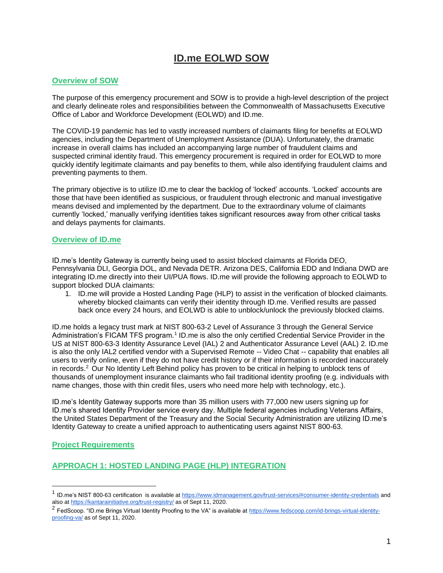# **ID.me EOLWD SOW**

#### **Overview of SOW**

The purpose of this emergency procurement and SOW is to provide a high-level description of the project and clearly delineate roles and responsibilities between the Commonwealth of Massachusetts Executive Office of Labor and Workforce Development (EOLWD) and ID.me.

The COVID-19 pandemic has led to vastly increased numbers of claimants filing for benefits at EOLWD agencies, including the Department of Unemployment Assistance (DUA). Unfortunately, the dramatic increase in overall claims has included an accompanying large number of fraudulent claims and suspected criminal identity fraud. This emergency procurement is required in order for EOLWD to more quickly identify legitimate claimants and pay benefits to them, while also identifying fraudulent claims and preventing payments to them.

The primary objective is to utilize ID.me to clear the backlog of 'locked' accounts. 'Locked' accounts are those that have been identified as suspicious, or fraudulent through electronic and manual investigative means devised and implemented by the department. Due to the extraordinary volume of claimants currently 'locked,' manually verifying identities takes significant resources away from other critical tasks and delays payments for claimants.

#### **Overview of ID.me**

ID.me's Identity Gateway is currently being used to assist blocked claimants at Florida DEO, Pennsylvania DLI, Georgia DOL, and Nevada DETR. Arizona DES, California EDD and Indiana DWD are integrating ID.me directly into their UI/PUA flows. ID.me will provide the following approach to EOLWD to support blocked DUA claimants:

1. ID.me will provide a Hosted Landing Page (HLP) to assist in the verification of blocked claimants. whereby blocked claimants can verify their identity through ID.me. Verified results are passed back once every 24 hours, and EOLWD is able to unblock/unlock the previously blocked claims.

ID.me holds a legacy trust mark at NIST 800-63-2 Level of Assurance 3 through the General Service Administration's FICAM TFS program.<sup>1</sup> ID.me is also the only certified Credential Service Provider in the US at NIST 800-63-3 Identity Assurance Level (IAL) 2 and Authenticator Assurance Level (AAL) 2. ID.me is also the only IAL2 certified vendor with a Supervised Remote -- Video Chat -- capability that enables all users to verify online, even if they do not have credit history or if their information is recorded inaccurately in records.<sup>2</sup> Our No Identity Left Behind policy has proven to be critical in helping to unblock tens of thousands of unemployment insurance claimants who fail traditional identity proofing (e.g. individuals with name changes, those with thin credit files, users who need more help with technology, etc.).

ID.me's Identity Gateway supports more than 35 million users with 77,000 new users signing up for ID.me's shared Identity Provider service every day. Multiple federal agencies including Veterans Affairs, the United States Department of the Treasury and the Social Security Administration are utilizing ID.me's Identity Gateway to create a unified approach to authenticating users against NIST 800-63.

#### **Project Requirements**

### **APPROACH 1: HOSTED LANDING PAGE (HLP) INTEGRATION**

<sup>&</sup>lt;sup>1</sup> ID.me's NIST 800-63 certification is available a[t https://www.idmanagement.gov/trust-services/#consumer-identity-credentials](https://www.idmanagement.gov/trust-services/#consumer-identity-credentials) and also at<https://kantarainitiative.org/trust-registry/> as of Sept 11, 2020.

<sup>&</sup>lt;sup>2</sup> FedScoop. "ID.me Brings Virtual Identity Proofing to the VA" is available at [https://www.fedscoop.com/id-brings-virtual-identity](https://www.fedscoop.com/id-brings-virtual-identity-proofing-va/)[proofing-va/](https://www.fedscoop.com/id-brings-virtual-identity-proofing-va/) as of Sept 11, 2020.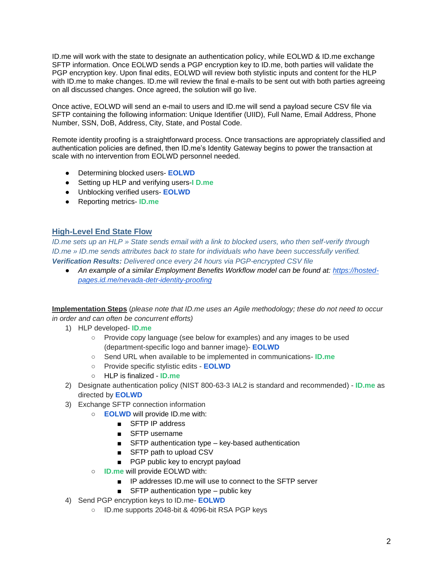ID.me will work with the state to designate an authentication policy, while EOLWD & ID.me exchange SFTP information. Once EOLWD sends a PGP encryption key to ID.me, both parties will validate the PGP encryption key. Upon final edits, EOLWD will review both stylistic inputs and content for the HLP with ID.me to make changes. ID.me will review the final e-mails to be sent out with both parties agreeing on all discussed changes. Once agreed, the solution will go live.

Once active, EOLWD will send an e-mail to users and ID.me will send a payload secure CSV file via SFTP containing the following information: Unique Identifier (UIID), Full Name, Email Address, Phone Number, SSN, DoB, Address, City, State, and Postal Code.

Remote identity proofing is a straightforward process. Once transactions are appropriately classified and authentication policies are defined, then ID.me's Identity Gateway begins to power the transaction at scale with no intervention from EOLWD personnel needed.

- Determining blocked users- **EOLWD**
- Setting up HLP and verifying users-**I D.me**
- Unblocking verified users- **EOLWD**
- Reporting metrics- **ID.me**

#### **High-Level End State Flow**

*ID.me sets up an HLP » State sends email with a link to blocked users, who then self-verify through ID.me » ID.me sends attributes back to state for individuals who have been successfully verified. Verification Results: Delivered once every 24 hours via PGP-encrypted CSV file*

● *An example of a similar Employment Benefits Workflow model can be found at: [https://hosted](https://hosted-pages.id.me/nevada-detr-identity-proofing)[pages.id.me/nevada-detr-identity-proofing](https://hosted-pages.id.me/nevada-detr-identity-proofing)*

**Implementation Steps** (*please note that ID.me uses an Agile methodology; these do not need to occur in order and can often be concurrent efforts)*

- 1) HLP developed- **ID.me**
	- Provide copy language (see below for examples) and any images to be used (department-specific logo and banner image)- **EOLWD**
	- Send URL when available to be implemented in communications- **ID.me**
	- Provide specific stylistic edits **EOLWD**
	- HLP is finalized **ID.me**
- 2) Designate authentication policy (NIST 800-63-3 IAL2 is standard and recommended) **ID.me** as directed by **EOLWD**
- 3) Exchange SFTP connection information
	- **EOLWD** will provide ID.me with:
		- SFTP IP address
		- SFTP username
		- SFTP authentication type key-based authentication
		- SFTP path to upload CSV
		- PGP public key to encrypt payload
		- **ID.me** will provide EOLWD with:
			- IP addresses ID.me will use to connect to the SFTP server
			- $\blacksquare$  SFTP authentication type public key
- 4) Send PGP encryption keys to ID.me- **EOLWD**
	- ID.me supports 2048-bit & 4096-bit RSA PGP keys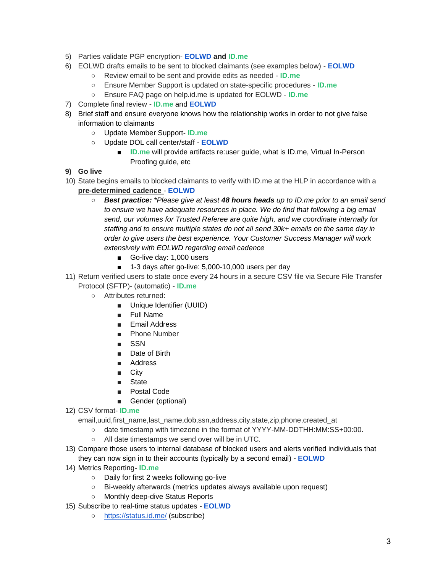- 5) Parties validate PGP encryption- **EOLWD and ID.me**
- 6) EOLWD drafts emails to be sent to blocked claimants (see examples below) **EOLWD**
	- Review email to be sent and provide edits as needed **ID.me**
	- Ensure Member Support is updated on state-specific procedures **ID.me**
	- Ensure FAQ page on help.id.me is updated for EOLWD **ID.me**
- 7) Complete final review **ID.me** and **EOLWD**
- 8) Brief staff and ensure everyone knows how the relationship works in order to not give false information to claimants
	- Update Member Support- **ID.me**
	- Update DOL call center/staff **EOLWD**
		- **ID.me** will provide artifacts re:user guide, what is ID.me, Virtual In-Person Proofing guide, etc
- **9) Go live**
- 10) State begins emails to blocked claimants to verify with ID.me at the HLP in accordance with a **pre-determined cadence** - **EOLWD**
	- *Best practice: \*Please give at least 48 hours heads up to ID.me prior to an email send*  to ensure we have adequate resources in place. We do find that following a big email *send, our volumes for Trusted Referee are quite high, and we coordinate internally for staffing and to ensure multiple states do not all send 30k+ emails on the same day in order to give users the best experience. Your Customer Success Manager will work extensively with EOLWD regarding email cadence* 
		- Go-live day: 1,000 users
		- 1-3 days after go-live: 5,000-10,000 users per day
- 11) Return verified users to state once every 24 hours in a secure CSV file via Secure File Transfer Protocol (SFTP)- (automatic) - **ID.me** 
	- Attributes returned:
		- Unique Identifier (UUID)
		- Full Name
		- Email Address
		- Phone Number
		- SSN
		- Date of Birth
		- Address
		- City
		- State
		- Postal Code
		- Gender (optional)
- 12) CSV format- **ID.me**

email, uuid, first\_name, last\_name,dob,ssn,address,city, state, zip, phone, created\_at

- date timestamp with timezone in the format of YYYY-MM-DDTHH:MM:SS+00:00.
- All date timestamps we send over will be in UTC.
- 13) Compare those users to internal database of blocked users and alerts verified individuals that they can now sign in to their accounts (typically by a second email) - **EOLWD**
- 14) Metrics Reporting- **ID.me**
	- Daily for first 2 weeks following go-live
	- Bi-weekly afterwards (metrics updates always available upon request)
	- Monthly deep-dive Status Reports
- 15) Subscribe to real-time status updates **EOLWD**
	- <https://status.id.me/> (subscribe)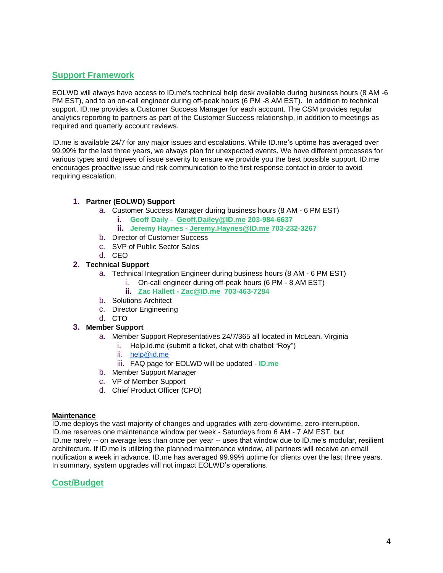### **Support Framework**

EOLWD will always have access to ID.me's technical help desk available during business hours (8 AM -6 PM EST), and to an on-call engineer during off-peak hours (6 PM -8 AM EST). In addition to technical support, ID.me provides a Customer Success Manager for each account. The CSM provides regular analytics reporting to partners as part of the Customer Success relationship, in addition to meetings as required and quarterly account reviews.

ID.me is available 24/7 for any major issues and escalations. While ID.me's uptime has averaged over 99.99% for the last three years, we always plan for unexpected events. We have different processes for various types and degrees of issue severity to ensure we provide you the best possible support. ID.me encourages proactive issue and risk communication to the first response contact in order to avoid requiring escalation.

#### **1. Partner (EOLWD) Support**

- a. Customer Success Manager during business hours (8 AM 6 PM EST)
	- **i. Geoff Daily Geoff.Dailey@ID.me 203-984-6637**
	- **ii. Jeremy Haynes - Jeremy.Haynes@ID.me 703-232-3267**
- b. Director of Customer Success
- c. SVP of Public Sector Sales
- d. CEO

#### **2. Technical Support**

- a. Technical Integration Engineer during business hours (8 AM 6 PM EST)
	- i. On-call engineer during off-peak hours (6 PM 8 AM EST)
	- **ii. Zac Hallett - Zac@ID.me 703-463-7284**
- b. Solutions Architect
- c. Director Engineering
- d. CTO

#### **3. Member Support**

- a. Member Support Representatives 24/7/365 all located in McLean, Virginia
	- i. Help.id.me (submit a ticket, chat with chatbot "Roy")
	- ii. [help@id.me](mailto:help@id.me)
	- iii. FAQ page for EOLWD will be updated **ID.me**
- b. Member Support Manager
- c. VP of Member Support
- d. Chief Product Officer (CPO)

#### **Maintenance**

ID.me deploys the vast majority of changes and upgrades with zero-downtime, zero-interruption. ID.me reserves one maintenance window per week - Saturdays from 6 AM - 7 AM EST, but ID.me rarely -- on average less than once per year -- uses that window due to ID.me's modular, resilient architecture. If ID.me is utilizing the planned maintenance window, all partners will receive an email notification a week in advance. ID.me has averaged 99.99% uptime for clients over the last three years. In summary, system upgrades will not impact EOLWD's operations.

### **Cost/Budget**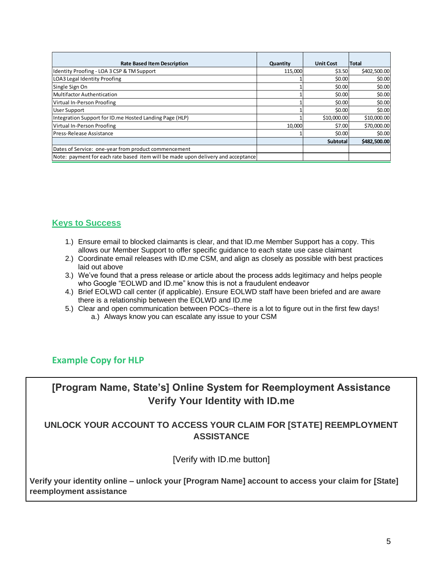| <b>Rate Based Item Description</b>                                               | Quantity | <b>Unit Cost</b> | <b>Total</b> |
|----------------------------------------------------------------------------------|----------|------------------|--------------|
| Identity Proofing - LOA 3 CSP & TM Support                                       | 115.000  | \$3.50           | \$402,500.00 |
| LOA3 Legal Identity Proofing                                                     |          | \$0.00           | \$0.00       |
| Single Sign On                                                                   |          | \$0.00           | \$0.00       |
| Multifactor Authentication                                                       |          | \$0.00           | \$0.00       |
| Virtual In-Person Proofing                                                       |          | \$0.00           | \$0.00       |
| <b>User Support</b>                                                              |          | \$0.00           | \$0.00       |
| Integration Support for ID.me Hosted Landing Page (HLP)                          |          | \$10,000.00      | \$10,000.00  |
| Virtual In-Person Proofing                                                       | 10.000   | \$7.00           | \$70,000.00  |
| Press-Release Assistance                                                         |          | \$0.00           | \$0.00       |
|                                                                                  |          | <b>Subtotal</b>  | \$482,500.00 |
| Dates of Service: one-year from product commencement                             |          |                  |              |
| Note: payment for each rate based item will be made upon delivery and acceptance |          |                  |              |

## **Keys to Success**

- 1.) Ensure email to blocked claimants is clear, and that ID.me Member Support has a copy. This allows our Member Support to offer specific guidance to each state use case claimant
- 2.) Coordinate email releases with ID.me CSM, and align as closely as possible with best practices laid out above
- 3.) We've found that a press release or article about the process adds legitimacy and helps people who Google "EOLWD and ID.me" know this is not a fraudulent endeavor
- 4.) Brief EOLWD call center (if applicable). Ensure EOLWD staff have been briefed and are aware there is a relationship between the EOLWD and ID.me
- 5.) Clear and open communication between POCs--there is a lot to figure out in the first few days! a.) Always know you can escalate any issue to your CSM

## **Example Copy for HLP**

**[Program Name, State's] Online System for Reemployment Assistance Verify Your Identity with ID.me**

## **UNLOCK YOUR ACCOUNT TO ACCESS YOUR CLAIM FOR [STATE] REEMPLOYMENT ASSISTANCE**

[Verify with ID.me button]

**Verify your identity online – unlock your [Program Name] account to access your claim for [State] reemployment assistance**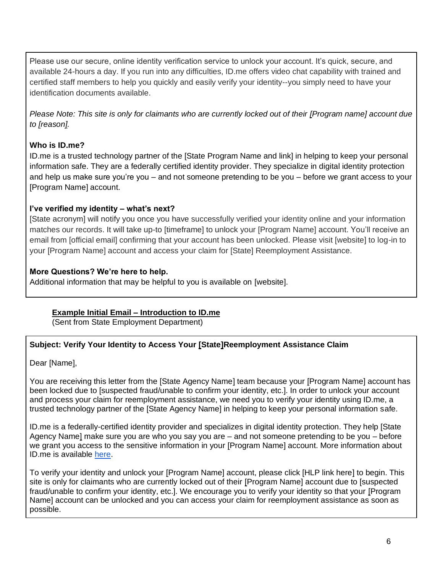Please use our secure, online identity verification service to unlock your account. It's quick, secure, and available 24-hours a day. If you run into any difficulties, ID.me offers video chat capability with trained and certified staff members to help you quickly and easily verify your identity--you simply need to have your identification documents available.

*Please Note: This site is only for claimants who are currently locked out of their [Program name] account due to [reason].*

### **Who is ID.me?**

ID.me is a trusted technology partner of the [State Program Name and link] in helping to keep your personal information safe. They are a federally certified identity provider. They specialize in digital identity protection and help us make sure you're you – and not someone pretending to be you – before we grant access to your [Program Name] account.

### **I've verified my identity – what's next?**

[State acronym] will notify you once you have successfully verified your identity online and your information matches our records. It will take up-to [timeframe] to unlock your [Program Name] account. You'll receive an email from [official email] confirming that your account has been unlocked. Please visit [website] to log-in to your [Program Name] account and access your claim for [State] Reemployment Assistance.

## **More Questions? We're here to help.**

Additional information that may be helpful to you is available o[n](https://gcc01.safelinks.protection.outlook.com/?url=http%3A%2F%2Fwww.floridajobs.org%2Fdocs%2Fdefault-source%2Freemployment-assistance-center%2Fnew-individual-faq-includes-cares-act-final.pdf%3Fsfvrsn%3D5f2547b0_54&data=02%7C01%7C%7Ca72f0840ee93492995d808d81786b3b8%7Ced173fed38394a3ca952140e906fed8d%7C0%7C1%7C637285214637345787&sdata=1MF6nYL%2FFxXQXe0pN7By44tgiZwpZrrHNTWRMK%2BWkLI%3D&reserved=0) [website].

## **Example Initial Email – Introduction to ID.me**

(Sent from State Employment Department)

## **Subject: Verify Your Identity to Access Your [State]Reemployment Assistance Claim**

Dear [Name],

You are receiving this letter from the [State Agency Name] team because your [Program Name] account has been locked due to [suspected fraud/unable to confirm your identity, etc.]. In order to unlock your account and process your claim for reemployment assistance, we need you to verify your identity using ID.me, a trusted technology partner of the [State Agency Name] in helping to keep your personal information safe.

ID.me is a federally-certified identity provider and specializes in digital identity protection. They help [State Agency Name] make sure you are who you say you are – and not someone pretending to be you – before we grant you access to the sensitive information in your [Program Name] account. More information about ID.me is available [here.](https://help.id.me/hc/en-us)

To verify your identity and unlock your [Program Name] account, please click [HLP link here] to begin. This site is only for claimants who are currently locked out of their [Program Name] account due to [suspected fraud/unable to confirm your identity, etc.]. We encourage you to verify your identity so that your [Program Name] account can be unlocked and you can access your claim for reemployment assistance as soon as possible.